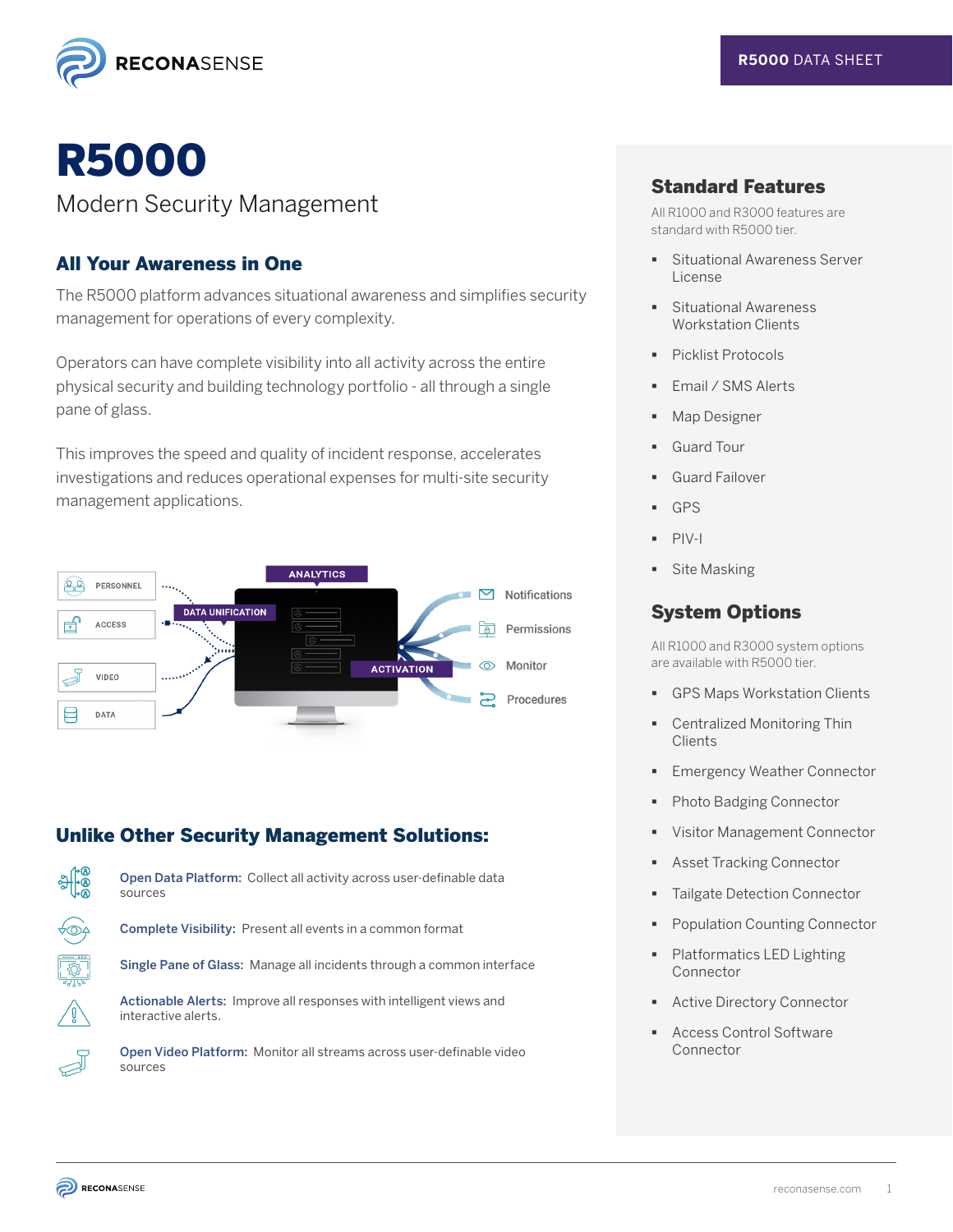

# R5000

## Modern Security Management

#### All Your Awareness in One

The R5000 platform advances situational awareness and simplifies security management for operations of every complexity.

Operators can have complete visibility into all activity across the entire physical security and building technology portfolio - all through a single pane of glass.

This improves the speed and quality of incident response, accelerates investigations and reduces operational expenses for multi-site security management applications.



## Unlike Other Security Management Solutions:



<u>ngan</u><br>Mg

Open Data Platform: Collect all activity across user-definable data sources

Complete Visibility: Present all events in a common format

Single Pane of Glass: Manage all incidents through a common interface

Actionable Alerts: Improve all responses with intelligent views and interactive alerts.

Open Video Platform: Monitor all streams across user-definable video sources

#### Standard Features

All R1000 and R3000 features are standard with R5000 tier.

- Situational Awareness Server License
- **Situational Awareness** Workstation Clients
- **Picklist Protocols**
- Email / SMS Alerts
- Map Designer
- Guard Tour
- Guard Failover
- GPS
- PIV-I
- **Site Masking**

#### System Options

All R1000 and R3000 system options are available with R5000 tier.

- GPS Maps Workstation Clients
- Centralized Monitoring Thin **Clients**
- Emergency Weather Connector
- Photo Badging Connector
- Visitor Management Connector
- **Asset Tracking Connector**
- Tailgate Detection Connector
- Population Counting Connector
- Platformatics LED Lighting Connector
- Active Directory Connector
- Access Control Software Connector